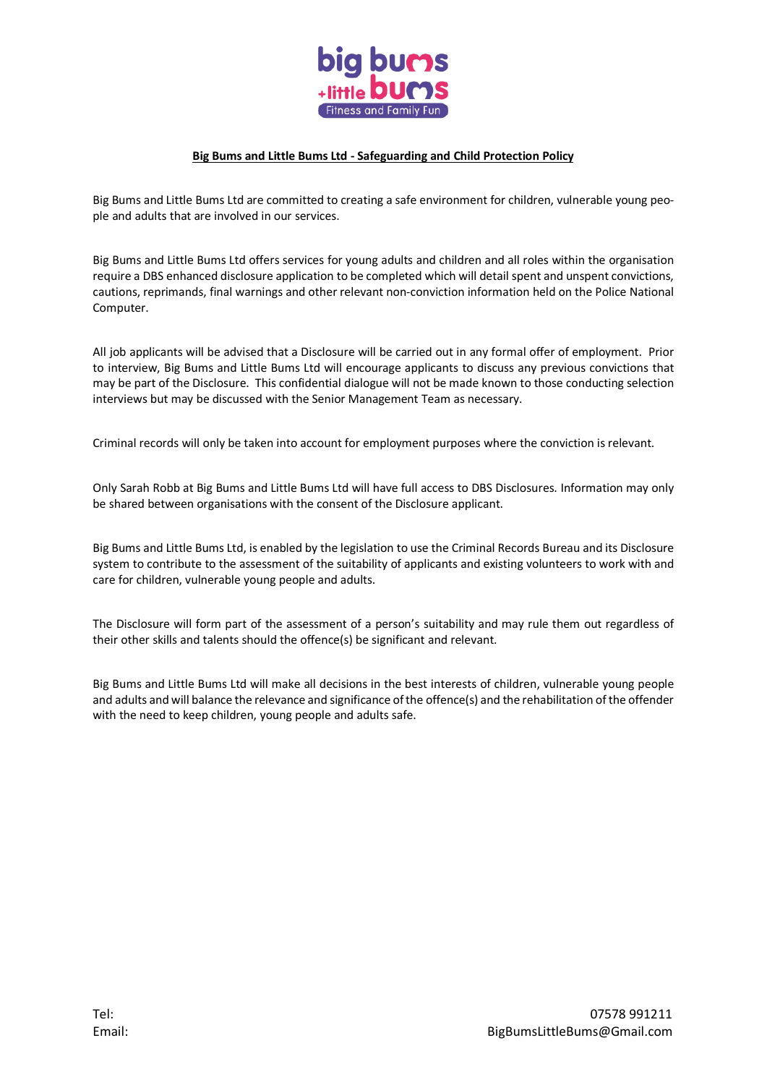

## **Big Bums and Little Bums Ltd - Safeguarding and Child Protection Policy**

Big Bums and Little Bums Ltd are committed to creating a safe environment for children, vulnerable young people and adults that are involved in our services.

Big Bums and Little Bums Ltd offers services for young adults and children and all roles within the organisation require a DBS enhanced disclosure application to be completed which will detail spent and unspent convictions, cautions, reprimands, final warnings and other relevant non-conviction information held on the Police National Computer.

All job applicants will be advised that a Disclosure will be carried out in any formal offer of employment. Prior to interview, Big Bums and Little Bums Ltd will encourage applicants to discuss any previous convictions that may be part of the Disclosure. This confidential dialogue will not be made known to those conducting selection interviews but may be discussed with the Senior Management Team as necessary.

Criminal records will only be taken into account for employment purposes where the conviction is relevant.

Only Sarah Robb at Big Bums and Little Bums Ltd will have full access to DBS Disclosures. Information may only be shared between organisations with the consent of the Disclosure applicant.

Big Bums and Little Bums Ltd, is enabled by the legislation to use the Criminal Records Bureau and its Disclosure system to contribute to the assessment of the suitability of applicants and existing volunteers to work with and care for children, vulnerable young people and adults.

The Disclosure will form part of the assessment of a person's suitability and may rule them out regardless of their other skills and talents should the offence(s) be significant and relevant.

Big Bums and Little Bums Ltd will make all decisions in the best interests of children, vulnerable young people and adults and will balance the relevance and significance ofthe offence(s) and the rehabilitation of the offender with the need to keep children, young people and adults safe.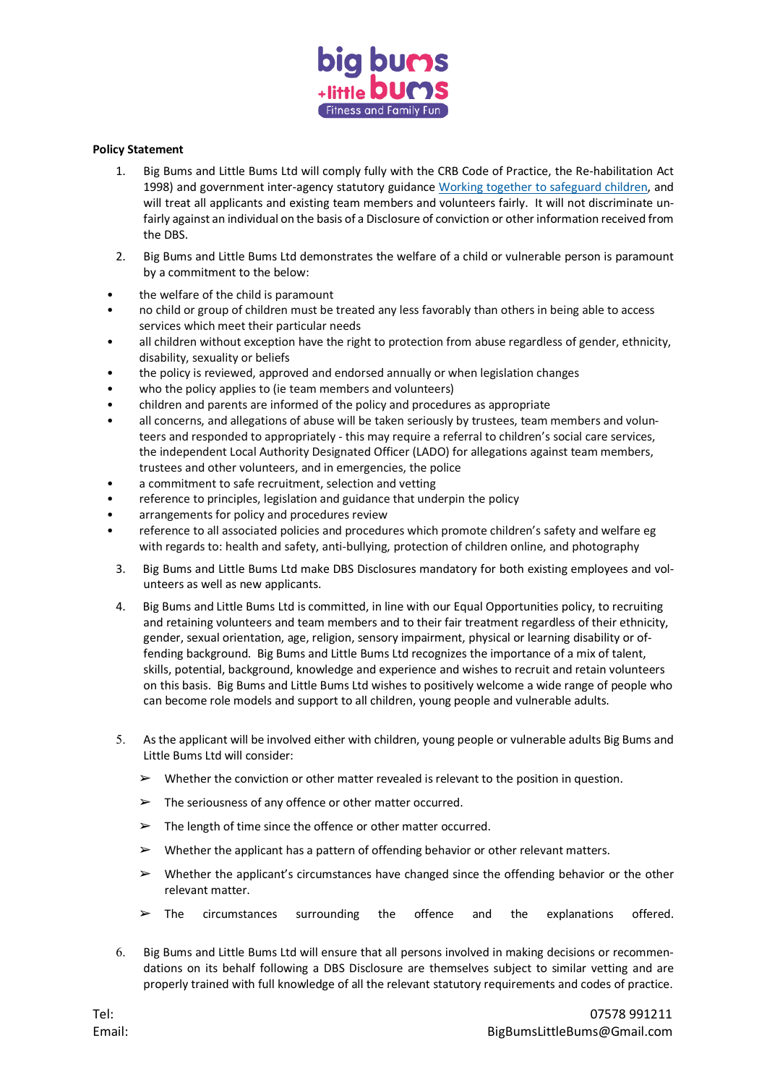

## **Policy Statement**

- 1. Big Bums and Little Bums Ltd will comply fully with the CRB Code of Practice, the Re-habilitation Act 1998) and government inter-agency statutory guidance Working together to [safeguard](https://www.gov.uk/government/publications/working-together-to-safeguard-children--2) children, and will treat all applicants and existing team members and volunteers fairly. It will not discriminate unfairly against an individual on the basis of a Disclosure of conviction or other information received from the DBS.
- 2. Big Bums and Little Bums Ltd demonstrates the welfare of a child or vulnerable person is paramount by a commitment to the below:
- the welfare of the child is paramount
- no child or group of children must be treated any less favorably than others in being able to access services which meet their particular needs
- all children without exception have the right to protection from abuse regardless of gender, ethnicity, disability, sexuality or beliefs
- the policy is reviewed, approved and endorsed annually or when legislation changes
- who the policy applies to (ie team members and volunteers)
- children and parents are informed of the policy and procedures as appropriate
- all concerns, and allegations of abuse will be taken seriously by trustees, team members and volunteers and responded to appropriately - this may require a referral to children's social care services, the independent Local Authority Designated Officer (LADO) for allegations against team members, trustees and other volunteers, and in emergencies, the police
- a commitment to safe recruitment, selection and vetting
- reference to principles, legislation and guidance that underpin the policy
- arrangements for policy and procedures review
- reference to all associated policies and procedures which promote children's safety and welfare eg with regards to: health and safety, anti-bullying, protection of children online, and photography
- 3. Big Bums and Little Bums Ltd make DBS Disclosures mandatory for both existing employees and volunteers as well as new applicants.
- 4. Big Bums and Little Bums Ltd is committed, in line with our Equal Opportunities policy, to recruiting and retaining volunteers and team members and to their fair treatment regardless of their ethnicity, gender, sexual orientation, age, religion, sensory impairment, physical or learning disability or offending background. Big Bums and Little Bums Ltd recognizes the importance of a mix of talent, skills, potential, background, knowledge and experience and wishes to recruit and retain volunteers on this basis. Big Bums and Little Bums Ltd wishes to positively welcome a wide range of people who can become role models and support to all children, young people and vulnerable adults.
- As the applicant will be involved either with children, young people or vulnerable adults Big Bums and Little Bums Ltd will consider:
	- $\triangleright$  Whether the conviction or other matter revealed is relevant to the position in question.
	- $\triangleright$  The seriousness of any offence or other matter occurred.
	- $\triangleright$  The length of time since the offence or other matter occurred.
	- $\triangleright$  Whether the applicant has a pattern of offending behavior or other relevant matters.
	- $\triangleright$  Whether the applicant's circumstances have changed since the offending behavior or the other relevant matter.
	- $\geq$  The circumstances surrounding the offence and the explanations offered.
- Big Bums and Little Bums Ltd will ensure that all persons involved in making decisions or recommendations on its behalf following a DBS Disclosure are themselves subject to similar vetting and are properly trained with full knowledge of all the relevant statutory requirements and codes of practice.